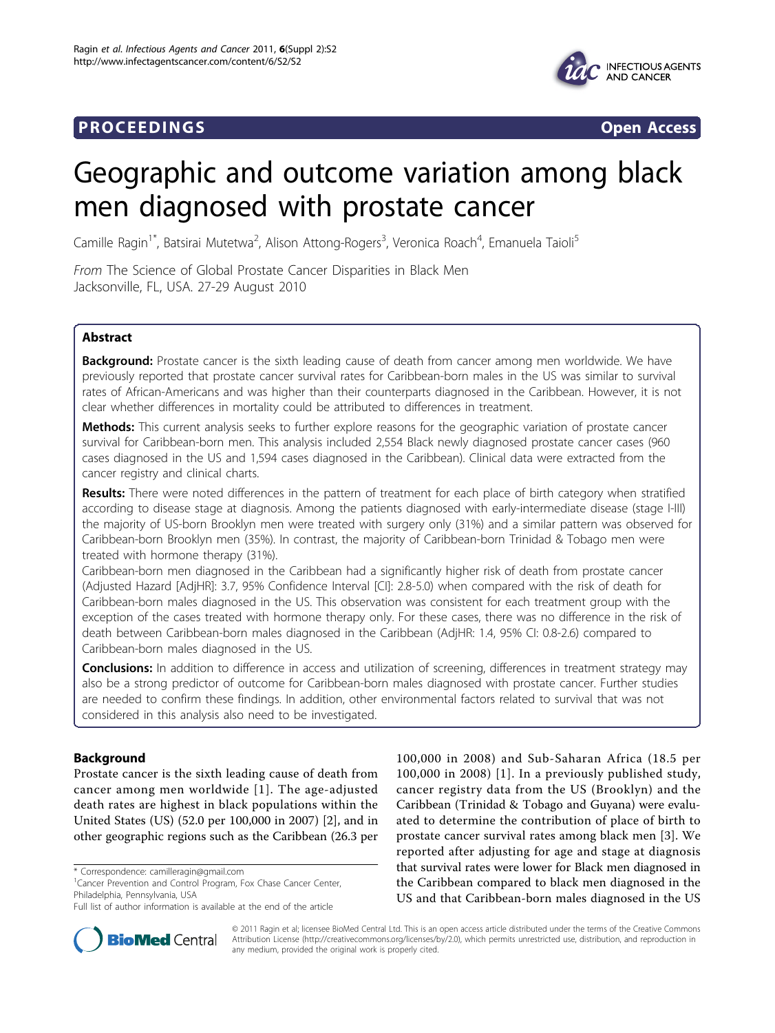## **PROCEEDINGS CONSIDERING SECOND CONSIDERING SECOND CONSIDERING SECOND SECOND SECOND SECOND SECOND SECOND SECOND SECOND SECOND SECOND SECOND SECOND SECOND SECOND SECOND SECOND SECOND SECOND SECOND SECOND SECOND SECOND SEC**



# Geographic and outcome variation among black men diagnosed with prostate cancer

Camille Ragin<sup>1\*</sup>, Batsirai Mutetwa<sup>2</sup>, Alison Attong-Rogers<sup>3</sup>, Veronica Roach<sup>4</sup>, Emanuela Taioli<sup>5</sup>

From The Science of Global Prostate Cancer Disparities in Black Men Jacksonville, FL, USA. 27-29 August 2010

## Abstract

**Background:** Prostate cancer is the sixth leading cause of death from cancer among men worldwide. We have previously reported that prostate cancer survival rates for Caribbean-born males in the US was similar to survival rates of African-Americans and was higher than their counterparts diagnosed in the Caribbean. However, it is not clear whether differences in mortality could be attributed to differences in treatment.

Methods: This current analysis seeks to further explore reasons for the geographic variation of prostate cancer survival for Caribbean-born men. This analysis included 2,554 Black newly diagnosed prostate cancer cases (960 cases diagnosed in the US and 1,594 cases diagnosed in the Caribbean). Clinical data were extracted from the cancer registry and clinical charts.

Results: There were noted differences in the pattern of treatment for each place of birth category when stratified according to disease stage at diagnosis. Among the patients diagnosed with early-intermediate disease (stage I-III) the majority of US-born Brooklyn men were treated with surgery only (31%) and a similar pattern was observed for Caribbean-born Brooklyn men (35%). In contrast, the majority of Caribbean-born Trinidad & Tobago men were treated with hormone therapy (31%).

Caribbean-born men diagnosed in the Caribbean had a significantly higher risk of death from prostate cancer (Adjusted Hazard [AdjHR]: 3.7, 95% Confidence Interval [CI]: 2.8-5.0) when compared with the risk of death for Caribbean-born males diagnosed in the US. This observation was consistent for each treatment group with the exception of the cases treated with hormone therapy only. For these cases, there was no difference in the risk of death between Caribbean-born males diagnosed in the Caribbean (AdjHR: 1.4, 95% CI: 0.8-2.6) compared to Caribbean-born males diagnosed in the US.

**Conclusions:** In addition to difference in access and utilization of screening, differences in treatment strategy may also be a strong predictor of outcome for Caribbean-born males diagnosed with prostate cancer. Further studies are needed to confirm these findings. In addition, other environmental factors related to survival that was not considered in this analysis also need to be investigated.

## Background

Prostate cancer is the sixth leading cause of death from cancer among men worldwide [[1](#page-4-0)]. The age-adjusted death rates are highest in black populations within the United States (US) (52.0 per 100,000 in 2007) [\[2](#page-4-0)], and in other geographic regions such as the Caribbean (26.3 per

Full list of author information is available at the end of the article





© 2011 Ragin et al; licensee BioMed Central Ltd. This is an open access article distributed under the terms of the Creative Commons Attribution License [\(http://creativecommons.org/licenses/by/2.0](http://creativecommons.org/licenses/by/2.0)), which permits unrestricted use, distribution, and reproduction in any medium, provided the original work is properly cited.

<sup>\*</sup> Correspondence: [camilleragin@gmail.com](mailto:camilleragin@gmail.com)

<sup>&</sup>lt;sup>1</sup> Cancer Prevention and Control Program, Fox Chase Cancer Center, Philadelphia, Pennsylvania, USA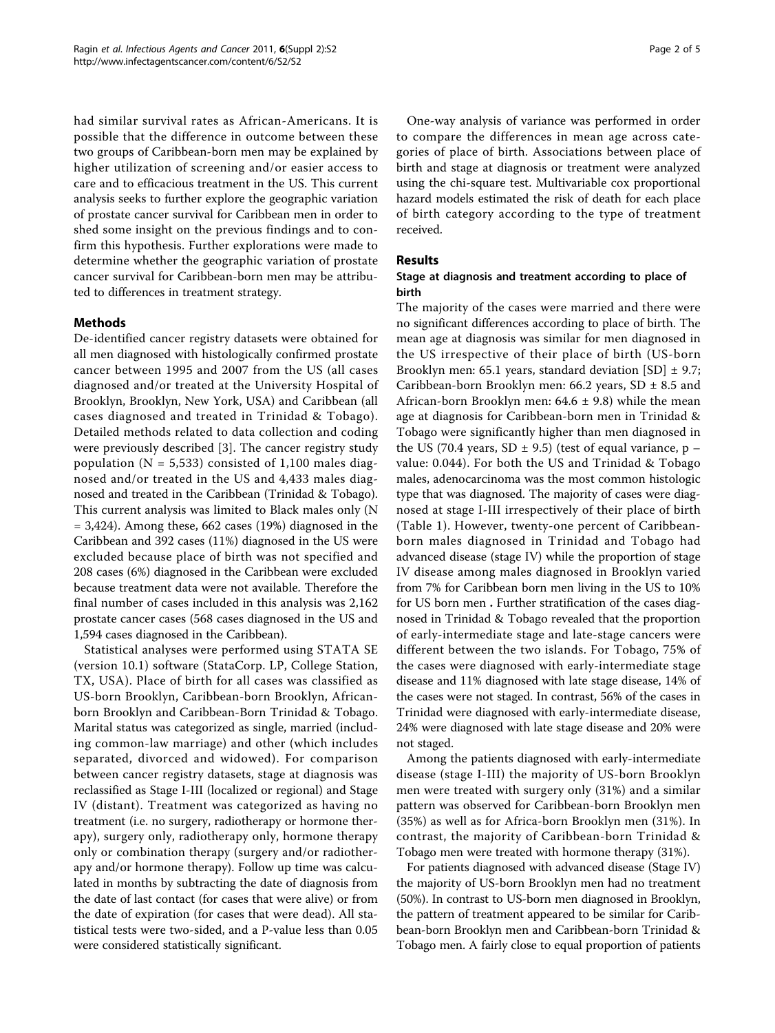had similar survival rates as African-Americans. It is possible that the difference in outcome between these two groups of Caribbean-born men may be explained by higher utilization of screening and/or easier access to care and to efficacious treatment in the US. This current analysis seeks to further explore the geographic variation of prostate cancer survival for Caribbean men in order to shed some insight on the previous findings and to confirm this hypothesis. Further explorations were made to determine whether the geographic variation of prostate cancer survival for Caribbean-born men may be attributed to differences in treatment strategy.

## Methods

De-identified cancer registry datasets were obtained for all men diagnosed with histologically confirmed prostate cancer between 1995 and 2007 from the US (all cases diagnosed and/or treated at the University Hospital of Brooklyn, Brooklyn, New York, USA) and Caribbean (all cases diagnosed and treated in Trinidad & Tobago). Detailed methods related to data collection and coding were previously described [[3\]](#page-4-0). The cancer registry study population ( $N = 5,533$ ) consisted of 1,100 males diagnosed and/or treated in the US and 4,433 males diagnosed and treated in the Caribbean (Trinidad & Tobago). This current analysis was limited to Black males only (N  $= 3,424$ ). Among these, 662 cases (19%) diagnosed in the Caribbean and 392 cases (11%) diagnosed in the US were excluded because place of birth was not specified and 208 cases (6%) diagnosed in the Caribbean were excluded because treatment data were not available. Therefore the final number of cases included in this analysis was 2,162 prostate cancer cases (568 cases diagnosed in the US and 1,594 cases diagnosed in the Caribbean).

Statistical analyses were performed using STATA SE (version 10.1) software (StataCorp. LP, College Station, TX, USA). Place of birth for all cases was classified as US-born Brooklyn, Caribbean-born Brooklyn, Africanborn Brooklyn and Caribbean-Born Trinidad & Tobago. Marital status was categorized as single, married (including common-law marriage) and other (which includes separated, divorced and widowed). For comparison between cancer registry datasets, stage at diagnosis was reclassified as Stage I-III (localized or regional) and Stage IV (distant). Treatment was categorized as having no treatment (i.e. no surgery, radiotherapy or hormone therapy), surgery only, radiotherapy only, hormone therapy only or combination therapy (surgery and/or radiotherapy and/or hormone therapy). Follow up time was calculated in months by subtracting the date of diagnosis from the date of last contact (for cases that were alive) or from the date of expiration (for cases that were dead). All statistical tests were two-sided, and a P-value less than 0.05 were considered statistically significant.

One-way analysis of variance was performed in order to compare the differences in mean age across categories of place of birth. Associations between place of birth and stage at diagnosis or treatment were analyzed using the chi-square test. Multivariable cox proportional hazard models estimated the risk of death for each place of birth category according to the type of treatment received.

## Results

## Stage at diagnosis and treatment according to place of birth

The majority of the cases were married and there were no significant differences according to place of birth. The mean age at diagnosis was similar for men diagnosed in the US irrespective of their place of birth (US-born Brooklyn men: 65.1 years, standard deviation  $[SD] \pm 9.7$ ; Caribbean-born Brooklyn men: 66.2 years, SD  $\pm$  8.5 and African-born Brooklyn men:  $64.6 \pm 9.8$ ) while the mean age at diagnosis for Caribbean-born men in Trinidad & Tobago were significantly higher than men diagnosed in the US (70.4 years, SD  $\pm$  9.5) (test of equal variance, p – value: 0.044). For both the US and Trinidad & Tobago males, adenocarcinoma was the most common histologic type that was diagnosed. The majority of cases were diagnosed at stage I-III irrespectively of their place of birth (Table [1](#page-2-0)). However, twenty-one percent of Caribbeanborn males diagnosed in Trinidad and Tobago had advanced disease (stage IV) while the proportion of stage IV disease among males diagnosed in Brooklyn varied from 7% for Caribbean born men living in the US to 10% for US born men . Further stratification of the cases diagnosed in Trinidad & Tobago revealed that the proportion of early-intermediate stage and late-stage cancers were different between the two islands. For Tobago, 75% of the cases were diagnosed with early-intermediate stage disease and 11% diagnosed with late stage disease, 14% of the cases were not staged. In contrast, 56% of the cases in Trinidad were diagnosed with early-intermediate disease, 24% were diagnosed with late stage disease and 20% were not staged.

Among the patients diagnosed with early-intermediate disease (stage I-III) the majority of US-born Brooklyn men were treated with surgery only (31%) and a similar pattern was observed for Caribbean-born Brooklyn men (35%) as well as for Africa-born Brooklyn men (31%). In contrast, the majority of Caribbean-born Trinidad & Tobago men were treated with hormone therapy (31%).

For patients diagnosed with advanced disease (Stage IV) the majority of US-born Brooklyn men had no treatment (50%). In contrast to US-born men diagnosed in Brooklyn, the pattern of treatment appeared to be similar for Caribbean-born Brooklyn men and Caribbean-born Trinidad & Tobago men. A fairly close to equal proportion of patients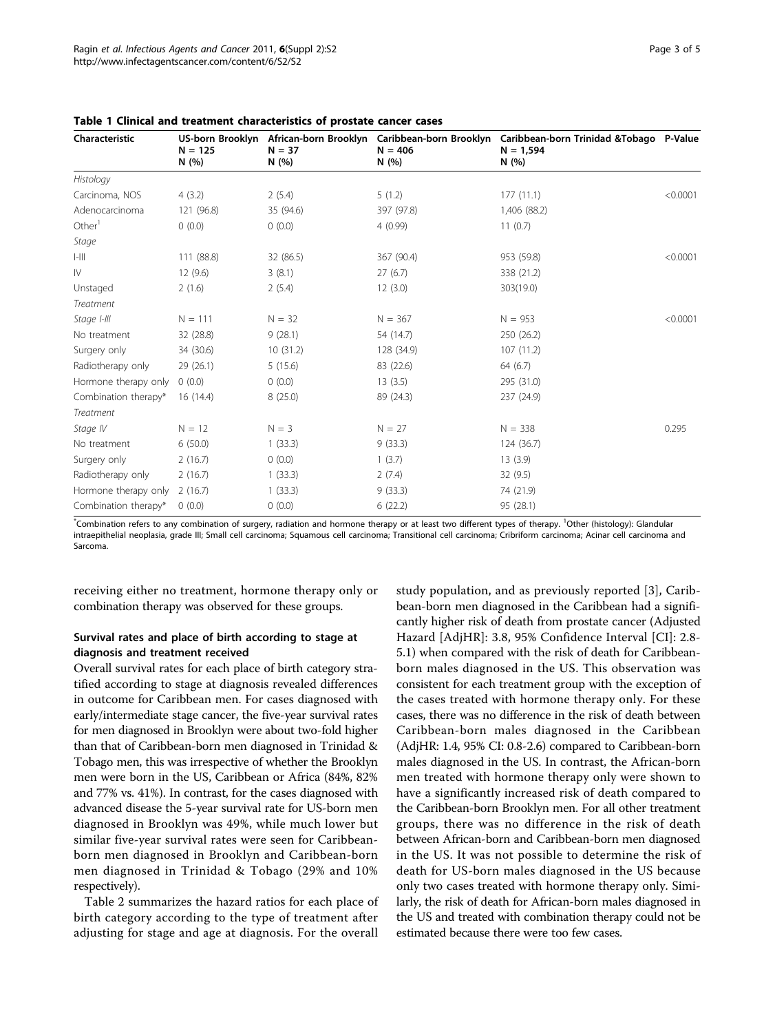| Characteristic       | $N = 125$<br>N(%) | $N = 37$<br>N (%) | $N = 406$<br>N(%) | US-born Brooklyn African-born Brooklyn Caribbean-born Brooklyn Caribbean-born Trinidad & Tobago P-Value<br>$N = 1,594$<br>N(%) |          |
|----------------------|-------------------|-------------------|-------------------|--------------------------------------------------------------------------------------------------------------------------------|----------|
| Histology            |                   |                   |                   |                                                                                                                                |          |
| Carcinoma, NOS       | 4(3.2)            | 2(5.4)            | 5(1.2)            | 177(11.1)                                                                                                                      | < 0.0001 |
| Adenocarcinoma       | 121 (96.8)        | 35 (94.6)         | 397 (97.8)        | 1,406 (88.2)                                                                                                                   |          |
| Other <sup>1</sup>   | 0(0.0)            | 0(0.0)            | 4(0.99)           | 11(0.7)                                                                                                                        |          |
| Stage                |                   |                   |                   |                                                                                                                                |          |
| $ -   $              | 111 (88.8)        | 32 (86.5)         | 367 (90.4)        | 953 (59.8)                                                                                                                     | < 0.0001 |
| ${\sf IV}$           | 12 (9.6)          | 3(8.1)            | 27(6.7)           | 338 (21.2)                                                                                                                     |          |
| Unstaged             | 2(1.6)            | 2(5.4)            | 12(3.0)           | 303(19.0)                                                                                                                      |          |
| Treatment            |                   |                   |                   |                                                                                                                                |          |
| Stage I-III          | $N = 111$         | $N = 32$          | $N = 367$         | $N = 953$                                                                                                                      | < 0.0001 |
| No treatment         | 32 (28.8)         | 9(28.1)           | 54 (14.7)         | 250 (26.2)                                                                                                                     |          |
| Surgery only         | 34 (30.6)         | 10 (31.2)         | 128 (34.9)        | 107 (11.2)                                                                                                                     |          |
| Radiotherapy only    | 29(26.1)          | 5(15.6)           | 83 (22.6)         | 64 (6.7)                                                                                                                       |          |
| Hormone therapy only | 0(0.0)            | 0(0.0)            | 13(3.5)           | 295 (31.0)                                                                                                                     |          |
| Combination therapy* | 16(14.4)          | 8(25.0)           | 89 (24.3)         | 237 (24.9)                                                                                                                     |          |
| Treatment            |                   |                   |                   |                                                                                                                                |          |
| Stage IV             | $N = 12$          | $N = 3$           | $N = 27$          | $N = 338$                                                                                                                      | 0.295    |
| No treatment         | 6(50.0)           | 1(33.3)           | 9(33.3)           | 124 (36.7)                                                                                                                     |          |
| Surgery only         | 2(16.7)           | 0(0.0)            | 1(3.7)            | 13(3.9)                                                                                                                        |          |
| Radiotherapy only    | 2(16.7)           | 1(33.3)           | 2(7.4)            | 32 (9.5)                                                                                                                       |          |
| Hormone therapy only | 2(16.7)           | 1(33.3)           | 9(33.3)           | 74 (21.9)                                                                                                                      |          |
| Combination therapy* | 0(0.0)            | 0(0.0)            | 6(22.2)           | 95 (28.1)                                                                                                                      |          |

<span id="page-2-0"></span>

|  |  |  | Table 1 Clinical and treatment characteristics of prostate cancer cases |  |  |  |  |
|--|--|--|-------------------------------------------------------------------------|--|--|--|--|
|--|--|--|-------------------------------------------------------------------------|--|--|--|--|

\*Combination refers to any combination of surgery, radiation and hormone therapy or at least two different types of therapy. <sup>1</sup>Other (histology): Glandular intraepithelial neoplasia, grade III; Small cell carcinoma; Squamous cell carcinoma; Transitional cell carcinoma; Cribriform carcinoma; Acinar cell carcinoma and Sarcoma.

receiving either no treatment, hormone therapy only or combination therapy was observed for these groups.

## Survival rates and place of birth according to stage at diagnosis and treatment received

Overall survival rates for each place of birth category stratified according to stage at diagnosis revealed differences in outcome for Caribbean men. For cases diagnosed with early/intermediate stage cancer, the five-year survival rates for men diagnosed in Brooklyn were about two-fold higher than that of Caribbean-born men diagnosed in Trinidad & Tobago men, this was irrespective of whether the Brooklyn men were born in the US, Caribbean or Africa (84%, 82% and 77% vs. 41%). In contrast, for the cases diagnosed with advanced disease the 5-year survival rate for US-born men diagnosed in Brooklyn was 49%, while much lower but similar five-year survival rates were seen for Caribbeanborn men diagnosed in Brooklyn and Caribbean-born men diagnosed in Trinidad & Tobago (29% and 10% respectively).

Table [2](#page-3-0) summarizes the hazard ratios for each place of birth category according to the type of treatment after adjusting for stage and age at diagnosis. For the overall

study population, and as previously reported [\[3](#page-4-0)], Caribbean-born men diagnosed in the Caribbean had a significantly higher risk of death from prostate cancer (Adjusted Hazard [AdjHR]: 3.8, 95% Confidence Interval [CI]: 2.8- 5.1) when compared with the risk of death for Caribbeanborn males diagnosed in the US. This observation was consistent for each treatment group with the exception of the cases treated with hormone therapy only. For these cases, there was no difference in the risk of death between Caribbean-born males diagnosed in the Caribbean (AdjHR: 1.4, 95% CI: 0.8-2.6) compared to Caribbean-born males diagnosed in the US. In contrast, the African-born men treated with hormone therapy only were shown to have a significantly increased risk of death compared to the Caribbean-born Brooklyn men. For all other treatment groups, there was no difference in the risk of death between African-born and Caribbean-born men diagnosed in the US. It was not possible to determine the risk of death for US-born males diagnosed in the US because only two cases treated with hormone therapy only. Similarly, the risk of death for African-born males diagnosed in the US and treated with combination therapy could not be estimated because there were too few cases.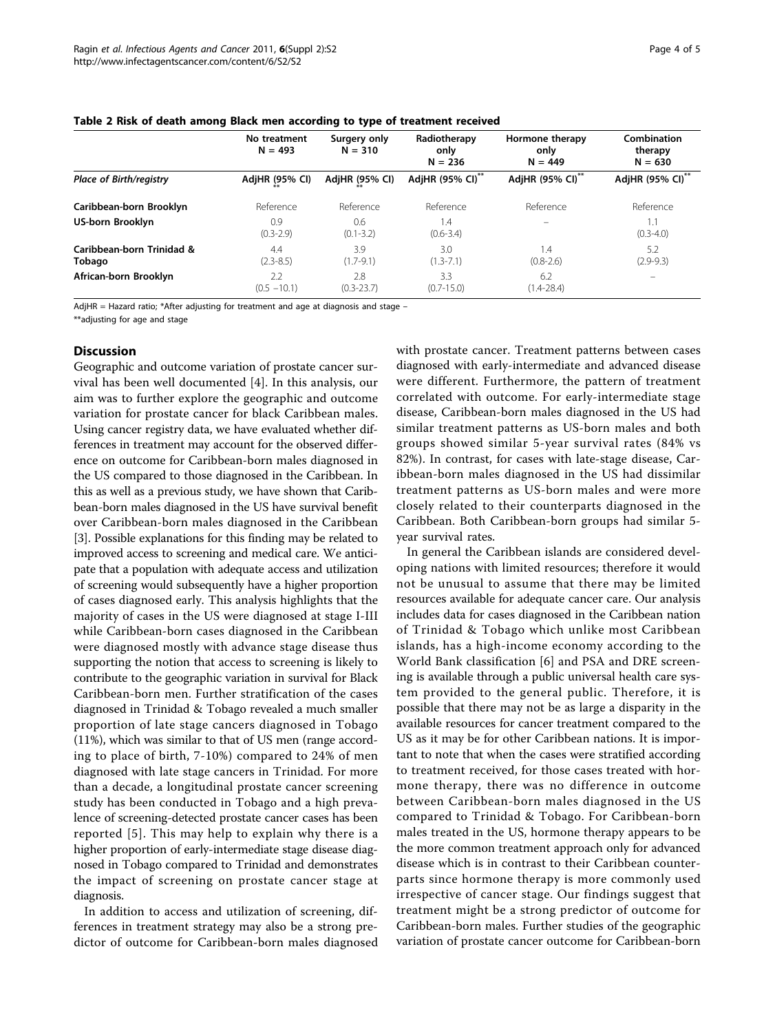|                                     | No treatment<br>$N = 493$ | Surgery only<br>$N = 310$ | Radiotherapy<br>only<br>$N = 236$ | Hormone therapy<br>only<br>$N = 449$ | Combination<br>therapy<br>$N = 630$ |
|-------------------------------------|---------------------------|---------------------------|-----------------------------------|--------------------------------------|-------------------------------------|
| <b>Place of Birth/registry</b>      | <b>AdjHR (95% CI)</b>     | AdjHR (95% CI)            | AdjHR (95% CI)                    | AdjHR (95% CI)**                     | AdjHR (95% CI)**                    |
| Caribbean-born Brooklyn             | Reference                 | Reference                 | Reference                         | Reference                            | Reference                           |
| <b>US-born Brooklyn</b>             | 0.9<br>$(0.3 - 2.9)$      | 0.6<br>$(0.1 - 3.2)$      | 1.4<br>$(0.6 - 3.4)$              |                                      | 1.1<br>$(0.3 - 4.0)$                |
| Caribbean-born Trinidad &<br>Tobago | 4.4<br>$(2.3 - 8.5)$      | 3.9<br>$(1.7 - 9.1)$      | 3.0<br>$(1.3 - 7.1)$              | 1.4<br>$(0.8 - 2.6)$                 | 5.2<br>$(2.9-9.3)$                  |
| African-born Brooklyn               | 2.2<br>$(0.5 - 10.1)$     | 2.8<br>$(0.3 - 23.7)$     | 3.3<br>$(0.7 - 15.0)$             | 6.2<br>$(1.4 - 28.4)$                |                                     |

<span id="page-3-0"></span>Table 2 Risk of death among Black men according to type of treatment received

AdjHR = Hazard ratio; \*After adjusting for treatment and age at diagnosis and stage –

\*\*adjusting for age and stage

## **Discussion**

Geographic and outcome variation of prostate cancer survival has been well documented [[4\]](#page-4-0). In this analysis, our aim was to further explore the geographic and outcome variation for prostate cancer for black Caribbean males. Using cancer registry data, we have evaluated whether differences in treatment may account for the observed difference on outcome for Caribbean-born males diagnosed in the US compared to those diagnosed in the Caribbean. In this as well as a previous study, we have shown that Caribbean-born males diagnosed in the US have survival benefit over Caribbean-born males diagnosed in the Caribbean [[3\]](#page-4-0). Possible explanations for this finding may be related to improved access to screening and medical care. We anticipate that a population with adequate access and utilization of screening would subsequently have a higher proportion of cases diagnosed early. This analysis highlights that the majority of cases in the US were diagnosed at stage I-III while Caribbean-born cases diagnosed in the Caribbean were diagnosed mostly with advance stage disease thus supporting the notion that access to screening is likely to contribute to the geographic variation in survival for Black Caribbean-born men. Further stratification of the cases diagnosed in Trinidad & Tobago revealed a much smaller proportion of late stage cancers diagnosed in Tobago (11%), which was similar to that of US men (range according to place of birth, 7-10%) compared to 24% of men diagnosed with late stage cancers in Trinidad. For more than a decade, a longitudinal prostate cancer screening study has been conducted in Tobago and a high prevalence of screening-detected prostate cancer cases has been reported [[5](#page-4-0)]. This may help to explain why there is a higher proportion of early-intermediate stage disease diagnosed in Tobago compared to Trinidad and demonstrates the impact of screening on prostate cancer stage at diagnosis.

In addition to access and utilization of screening, differences in treatment strategy may also be a strong predictor of outcome for Caribbean-born males diagnosed with prostate cancer. Treatment patterns between cases diagnosed with early-intermediate and advanced disease were different. Furthermore, the pattern of treatment correlated with outcome. For early-intermediate stage disease, Caribbean-born males diagnosed in the US had similar treatment patterns as US-born males and both groups showed similar 5-year survival rates (84% vs 82%). In contrast, for cases with late-stage disease, Caribbean-born males diagnosed in the US had dissimilar treatment patterns as US-born males and were more closely related to their counterparts diagnosed in the Caribbean. Both Caribbean-born groups had similar 5 year survival rates.

In general the Caribbean islands are considered developing nations with limited resources; therefore it would not be unusual to assume that there may be limited resources available for adequate cancer care. Our analysis includes data for cases diagnosed in the Caribbean nation of Trinidad & Tobago which unlike most Caribbean islands, has a high-income economy according to the World Bank classification [[6](#page-4-0)] and PSA and DRE screening is available through a public universal health care system provided to the general public. Therefore, it is possible that there may not be as large a disparity in the available resources for cancer treatment compared to the US as it may be for other Caribbean nations. It is important to note that when the cases were stratified according to treatment received, for those cases treated with hormone therapy, there was no difference in outcome between Caribbean-born males diagnosed in the US compared to Trinidad & Tobago. For Caribbean-born males treated in the US, hormone therapy appears to be the more common treatment approach only for advanced disease which is in contrast to their Caribbean counterparts since hormone therapy is more commonly used irrespective of cancer stage. Our findings suggest that treatment might be a strong predictor of outcome for Caribbean-born males. Further studies of the geographic variation of prostate cancer outcome for Caribbean-born